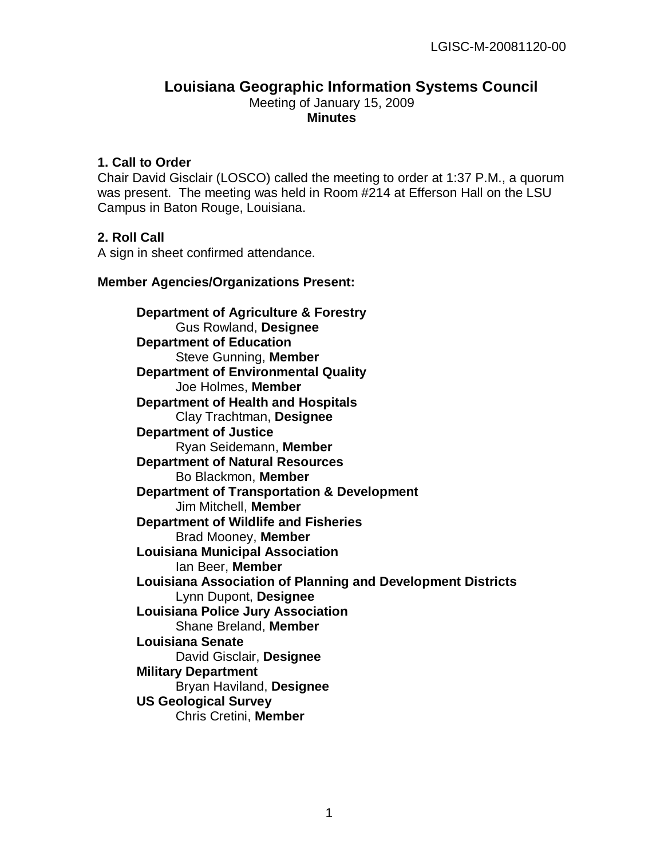#### **Louisiana Geographic Information Systems Council** Meeting of January 15, 2009 **Minutes**

### **1. Call to Order**

Chair David Gisclair (LOSCO) called the meeting to order at 1:37 P.M., a quorum was present. The meeting was held in Room #214 at Efferson Hall on the LSU Campus in Baton Rouge, Louisiana.

### **2. Roll Call**

A sign in sheet confirmed attendance.

### **Member Agencies/Organizations Present:**

**Department of Agriculture & Forestry** Gus Rowland, **Designee Department of Education** Steve Gunning, **Member Department of Environmental Quality** Joe Holmes, **Member Department of Health and Hospitals** Clay Trachtman, **Designee Department of Justice** Ryan Seidemann, **Member Department of Natural Resources** Bo Blackmon, **Member Department of Transportation & Development** Jim Mitchell, **Member Department of Wildlife and Fisheries** Brad Mooney, **Member Louisiana Municipal Association** Ian Beer, **Member Louisiana Association of Planning and Development Districts** Lynn Dupont, **Designee Louisiana Police Jury Association** Shane Breland, **Member Louisiana Senate** David Gisclair, **Designee Military Department** Bryan Haviland, **Designee US Geological Survey** Chris Cretini, **Member**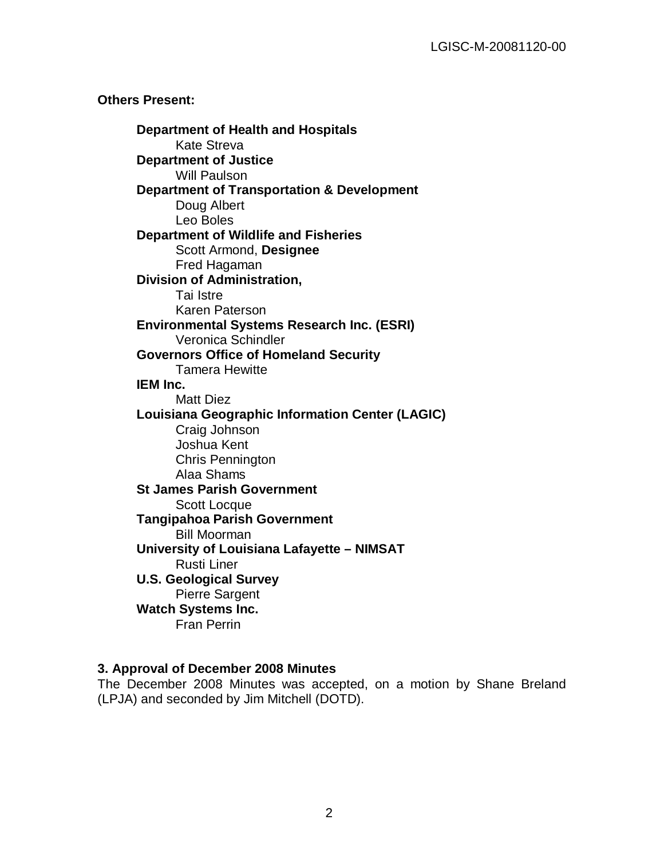### **Others Present:**

**Department of Health and Hospitals** Kate Streva **Department of Justice** Will Paulson **Department of Transportation & Development** Doug Albert Leo Boles **Department of Wildlife and Fisheries** Scott Armond, **Designee** Fred Hagaman **Division of Administration,**  Tai Istre Karen Paterson **Environmental Systems Research Inc. (ESRI)** Veronica Schindler **Governors Office of Homeland Security** Tamera Hewitte **IEM Inc.** Matt Diez **Louisiana Geographic Information Center (LAGIC)** Craig Johnson Joshua Kent Chris Pennington Alaa Shams **St James Parish Government** Scott Locque **Tangipahoa Parish Government** Bill Moorman **University of Louisiana Lafayette – NIMSAT** Rusti Liner **U.S. Geological Survey** Pierre Sargent **Watch Systems Inc.** Fran Perrin

### **3. Approval of December 2008 Minutes**

The December 2008 Minutes was accepted, on a motion by Shane Breland (LPJA) and seconded by Jim Mitchell (DOTD).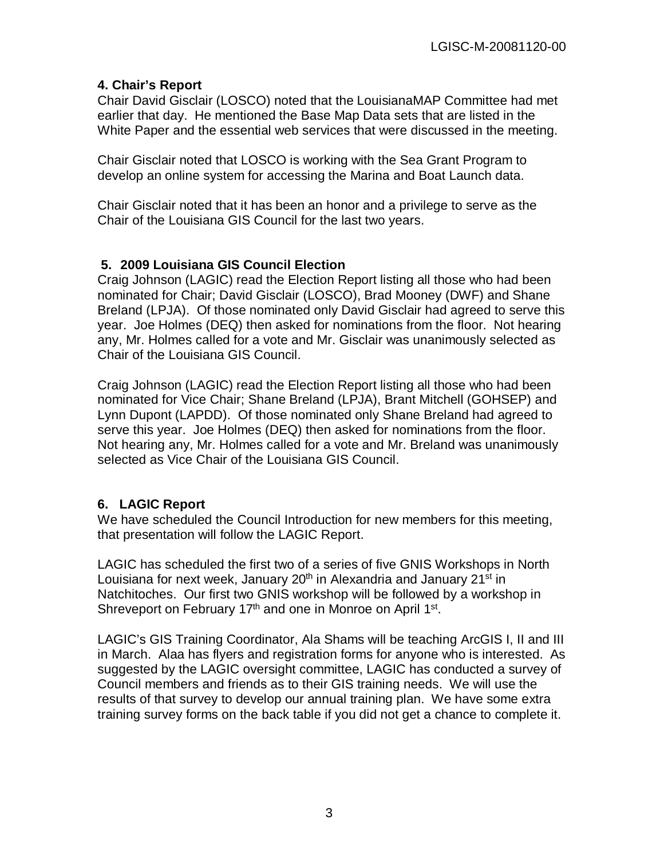### **4. Chair's Report**

Chair David Gisclair (LOSCO) noted that the LouisianaMAP Committee had met earlier that day. He mentioned the Base Map Data sets that are listed in the White Paper and the essential web services that were discussed in the meeting.

Chair Gisclair noted that LOSCO is working with the Sea Grant Program to develop an online system for accessing the Marina and Boat Launch data.

Chair Gisclair noted that it has been an honor and a privilege to serve as the Chair of the Louisiana GIS Council for the last two years.

### **5. 2009 Louisiana GIS Council Election**

Craig Johnson (LAGIC) read the Election Report listing all those who had been nominated for Chair; David Gisclair (LOSCO), Brad Mooney (DWF) and Shane Breland (LPJA). Of those nominated only David Gisclair had agreed to serve this year. Joe Holmes (DEQ) then asked for nominations from the floor. Not hearing any, Mr. Holmes called for a vote and Mr. Gisclair was unanimously selected as Chair of the Louisiana GIS Council.

Craig Johnson (LAGIC) read the Election Report listing all those who had been nominated for Vice Chair; Shane Breland (LPJA), Brant Mitchell (GOHSEP) and Lynn Dupont (LAPDD). Of those nominated only Shane Breland had agreed to serve this year. Joe Holmes (DEQ) then asked for nominations from the floor. Not hearing any, Mr. Holmes called for a vote and Mr. Breland was unanimously selected as Vice Chair of the Louisiana GIS Council.

### **6. LAGIC Report**

We have scheduled the Council Introduction for new members for this meeting, that presentation will follow the LAGIC Report.

LAGIC has scheduled the first two of a series of five GNIS Workshops in North Louisiana for next week, January 20<sup>th</sup> in Alexandria and January 21<sup>st</sup> in Natchitoches. Our first two GNIS workshop will be followed by a workshop in Shreveport on February 17<sup>th</sup> and one in Monroe on April 1<sup>st</sup>.

LAGIC's GIS Training Coordinator, Ala Shams will be teaching ArcGIS I, II and III in March. Alaa has flyers and registration forms for anyone who is interested. As suggested by the LAGIC oversight committee, LAGIC has conducted a survey of Council members and friends as to their GIS training needs. We will use the results of that survey to develop our annual training plan. We have some extra training survey forms on the back table if you did not get a chance to complete it.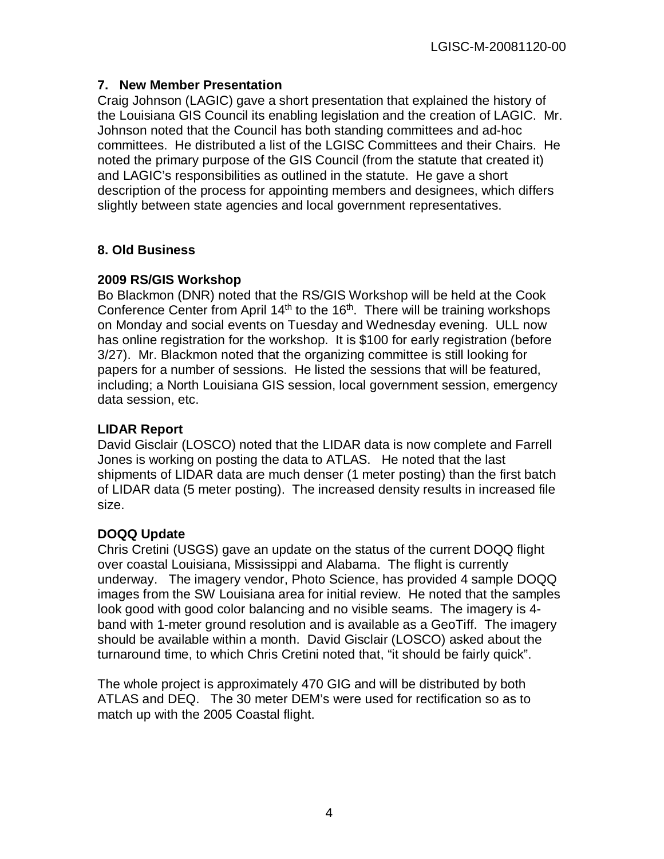### **7. New Member Presentation**

Craig Johnson (LAGIC) gave a short presentation that explained the history of the Louisiana GIS Council its enabling legislation and the creation of LAGIC. Mr. Johnson noted that the Council has both standing committees and ad-hoc committees. He distributed a list of the LGISC Committees and their Chairs. He noted the primary purpose of the GIS Council (from the statute that created it) and LAGIC's responsibilities as outlined in the statute. He gave a short description of the process for appointing members and designees, which differs slightly between state agencies and local government representatives.

## **8. Old Business**

### **2009 RS/GIS Workshop**

Bo Blackmon (DNR) noted that the RS/GIS Workshop will be held at the Cook Conference Center from April  $14<sup>th</sup>$  to the  $16<sup>th</sup>$ . There will be training workshops on Monday and social events on Tuesday and Wednesday evening. ULL now has online registration for the workshop. It is \$100 for early registration (before 3/27). Mr. Blackmon noted that the organizing committee is still looking for papers for a number of sessions. He listed the sessions that will be featured, including; a North Louisiana GIS session, local government session, emergency data session, etc.

### **LIDAR Report**

David Gisclair (LOSCO) noted that the LIDAR data is now complete and Farrell Jones is working on posting the data to ATLAS. He noted that the last shipments of LIDAR data are much denser (1 meter posting) than the first batch of LIDAR data (5 meter posting). The increased density results in increased file size.

## **DOQQ Update**

Chris Cretini (USGS) gave an update on the status of the current DOQQ flight over coastal Louisiana, Mississippi and Alabama. The flight is currently underway. The imagery vendor, Photo Science, has provided 4 sample DOQQ images from the SW Louisiana area for initial review. He noted that the samples look good with good color balancing and no visible seams. The imagery is 4 band with 1-meter ground resolution and is available as a GeoTiff. The imagery should be available within a month. David Gisclair (LOSCO) asked about the turnaround time, to which Chris Cretini noted that, "it should be fairly quick".

The whole project is approximately 470 GIG and will be distributed by both ATLAS and DEQ. The 30 meter DEM's were used for rectification so as to match up with the 2005 Coastal flight.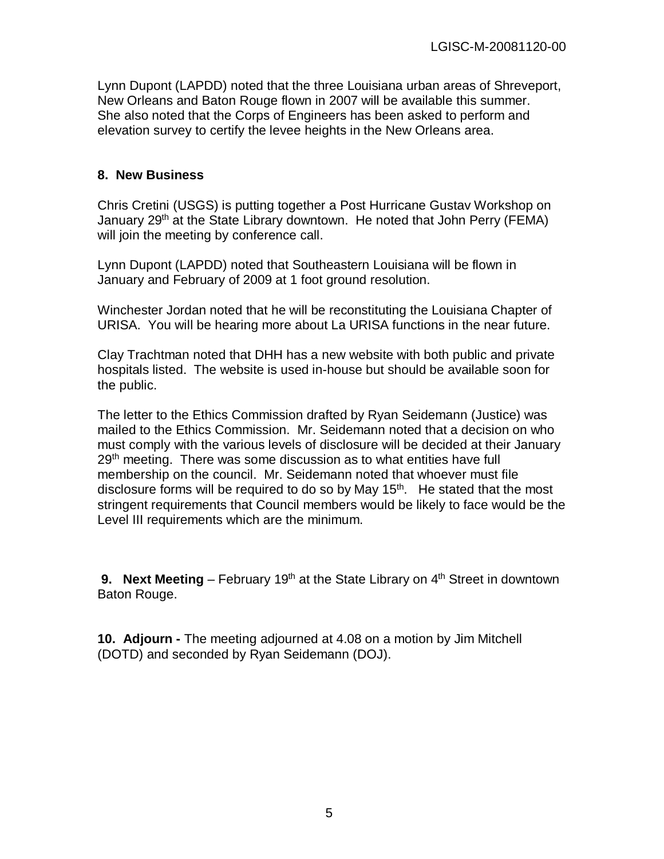Lynn Dupont (LAPDD) noted that the three Louisiana urban areas of Shreveport, New Orleans and Baton Rouge flown in 2007 will be available this summer. She also noted that the Corps of Engineers has been asked to perform and elevation survey to certify the levee heights in the New Orleans area.

### **8. New Business**

Chris Cretini (USGS) is putting together a Post Hurricane Gustav Workshop on January 29<sup>th</sup> at the State Library downtown. He noted that John Perry (FEMA) will join the meeting by conference call.

Lynn Dupont (LAPDD) noted that Southeastern Louisiana will be flown in January and February of 2009 at 1 foot ground resolution.

Winchester Jordan noted that he will be reconstituting the Louisiana Chapter of URISA. You will be hearing more about La URISA functions in the near future.

Clay Trachtman noted that DHH has a new website with both public and private hospitals listed. The website is used in-house but should be available soon for the public.

The letter to the Ethics Commission drafted by Ryan Seidemann (Justice) was mailed to the Ethics Commission. Mr. Seidemann noted that a decision on who must comply with the various levels of disclosure will be decided at their January 29<sup>th</sup> meeting. There was some discussion as to what entities have full membership on the council. Mr. Seidemann noted that whoever must file disclosure forms will be required to do so by May  $15<sup>th</sup>$ . He stated that the most stringent requirements that Council members would be likely to face would be the Level III requirements which are the minimum.

**9. Next Meeting** – February 19<sup>th</sup> at the State Library on 4<sup>th</sup> Street in downtown Baton Rouge.

**10. Adjourn -** The meeting adjourned at 4.08 on a motion by Jim Mitchell (DOTD) and seconded by Ryan Seidemann (DOJ).